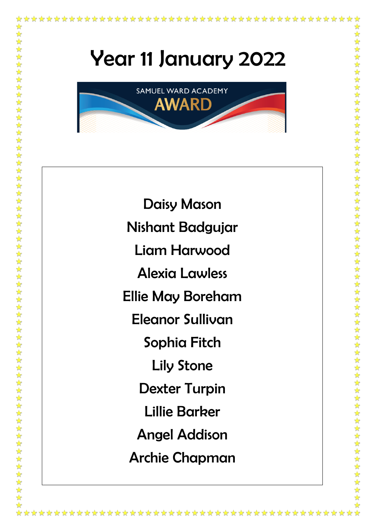\*\*\*\*\*\*\*\*\*\*\*\*\*\*\*

\*\*\*\*\*\*



Daisy Mason Nishant Badgujar Liam Harwood Alexia Lawless Ellie May Boreham Eleanor Sullivan Sophia Fitch Lily Stone Dexter Turpin Lillie Barker Angel Addison Archie Chapman

\*\*\*\*\*\*\*\*\*\*\*\*\*\*\*\*\*\*\*\*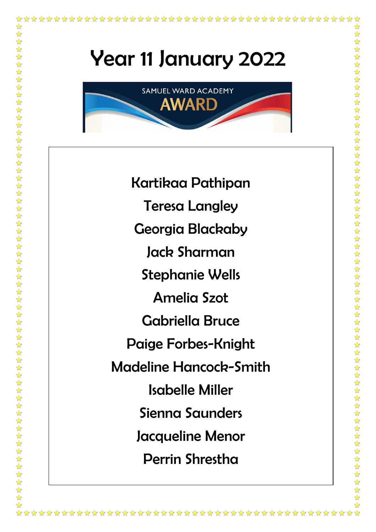大女

大女女女

\*\*\*\*\*\*\*\*\*\*\*\*\*\*\*\*



Kartikaa Pathipan Teresa Langley Georgia Blackaby Jack Sharman Stephanie Wells Amelia Szot Gabriella Bruce Paige Forbes-Knight Madeline Hancock-Smith Isabelle Miller Sienna Saunders Jacqueline Menor Perrin Shrestha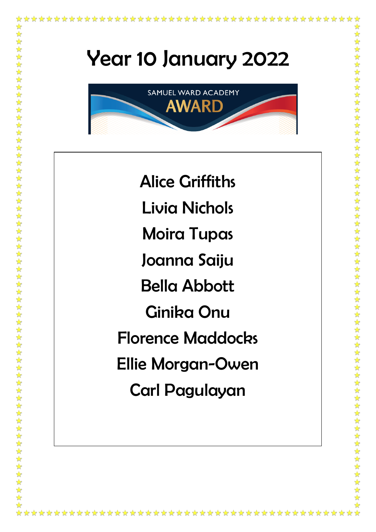✿

\*\*\*\*\*\*\*\*\*\*\*\*\*\*\*\*\*\*\*\*\*\*\*\*\*\*\*\*\*\*\*\*\*\*\*\*\*

\*\*\*\*\*\*\*\*\*\*\*\*\*\*

\*\*\*\*\*\*\*\*\*\*\*\*\*\*\*\*\*\*

\*\*\*\*\*\*\*\*\*\*\*\*\*\*\*\*\*\*\*\*\*\*\*\*\*\*\*\*

\*\*\*\*\*\*\*\*\*\*\*\*\*\*\*

☆☆☆☆☆☆☆☆☆☆☆☆☆



Alice Griffiths Livia Nichols Moira Tupas Joanna Saiju Bella Abbott Ginika Onu Florence Maddocks Ellie Morgan-Owen Carl Pagulayan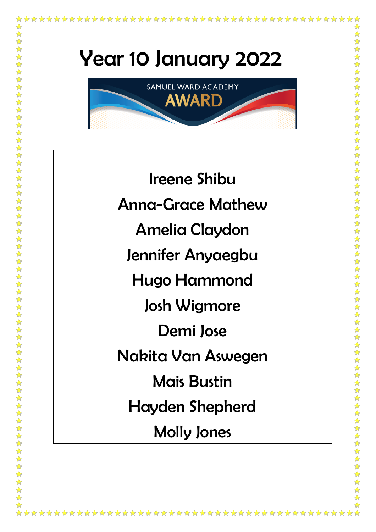

Ireene Shibu Anna-Grace Mathew Amelia Claydon Jennifer Anyaegbu Hugo Hammond Josh Wigmore Demi Jose Nakita Van Aswegen Mais Bustin Hayden Shepherd Molly Jones

\*\*\*\*\*\*\*\*\*\*\*\*\*\*\*\*

女女女女女女女女女女女女女女女女女女女女女女女女女女女女女女女女女女女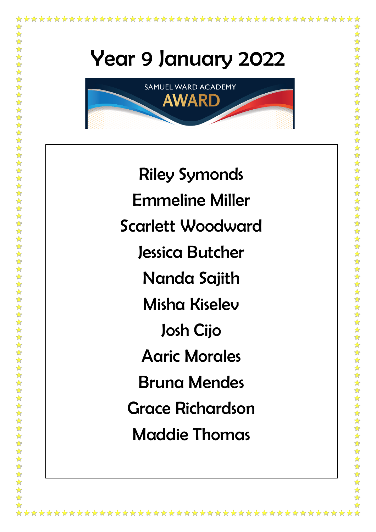

★★★★★

Riley Symonds Emmeline Miller Scarlett Woodward Jessica Butcher Nanda Sajith Misha Kiselev Josh Cijo Aaric Morales Bruna Mendes Grace Richardson Maddie Thomas

\*\*\*\*\*\*\*\*\*\*\*\*\*\*\*\*\*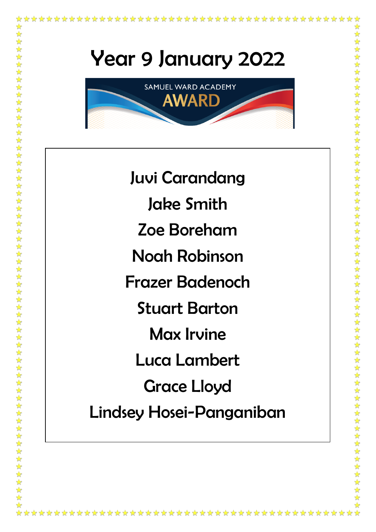

\*\*\*\*\*\*\*\*\*\*\*\*\*\*\*\*\*\*\*\*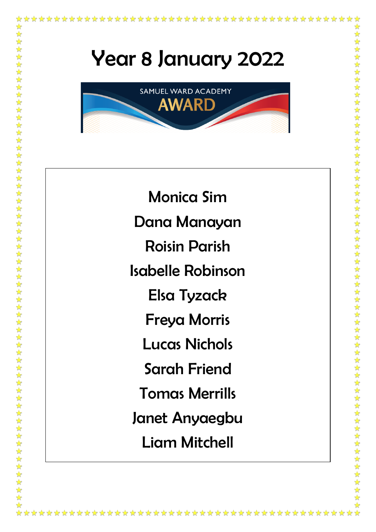大众

\*\*\*\*\*\*\*\*\*\*\*\*\*\*



Monica Sim Dana Manayan Roisin Parish Isabelle Robinson Elsa Tyzack Freya Morris Lucas Nichols Sarah Friend Tomas Merrills Janet Anyaegbu Liam Mitchell

\*\*\*\*\*\*\*\*\*\*\*\*\*\*\*\*\*\*\*\*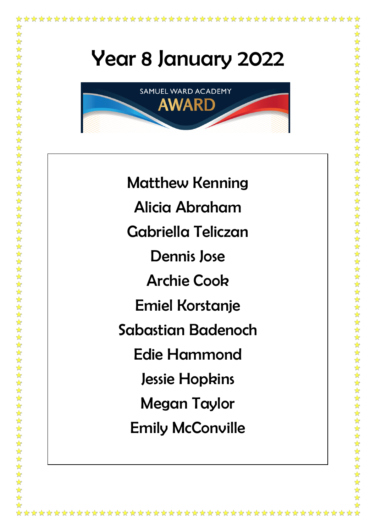\*\*\*\*\*\*\*\*\*\*\*\*\*\*\*\*\*\*\*

大女

大丈夫

\*\*\*\*\*\*\*\*\*\*\*\*\*\*\*\*\*



Matthew Kenning Alicia Abraham Gabriella Teliczan Dennis Jose Archie Cook Emiel Korstanje Sabastian Badenoch Edie Hammond Jessie Hopkins Megan Taylor Emily McConville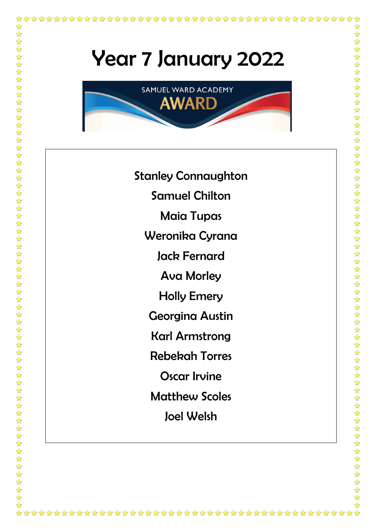计算



Stanley Connaughton Samuel Chilton Maia Tupas Weronika Cyrana Jack Fernard Ava Morley Holly Emery Georgina Austin Karl Armstrong Rebekah Torres Oscar Irvine Matthew Scoles Joel Welsh

\*\*\*\*\*\*\*\*\*\*\*\*\*\*\*\*\*\*\*\*\*\*\*\*\*\*\*\*\*\*\*\*\*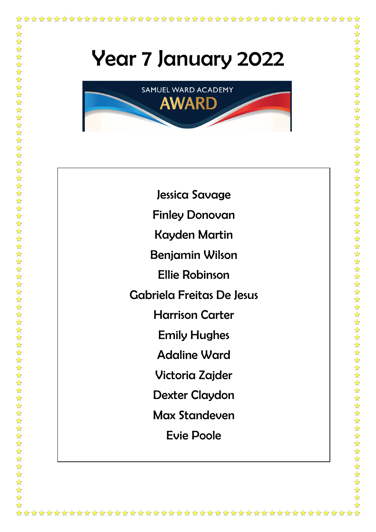计算



Jessica Savage Finley Donovan Kayden Martin Benjamin Wilson Ellie Robinson Gabriela Freitas De Jesus Harrison Carter Emily Hughes Adaline Ward Victoria Zajder Dexter Claydon Max Standeven

Evie Poole

\*\*\*\*\*\*\*\*\*\*\*\*\*\*\*\*\*\*\*\*\*\*\*\*\*\*\*\*\*\*\*\*\*